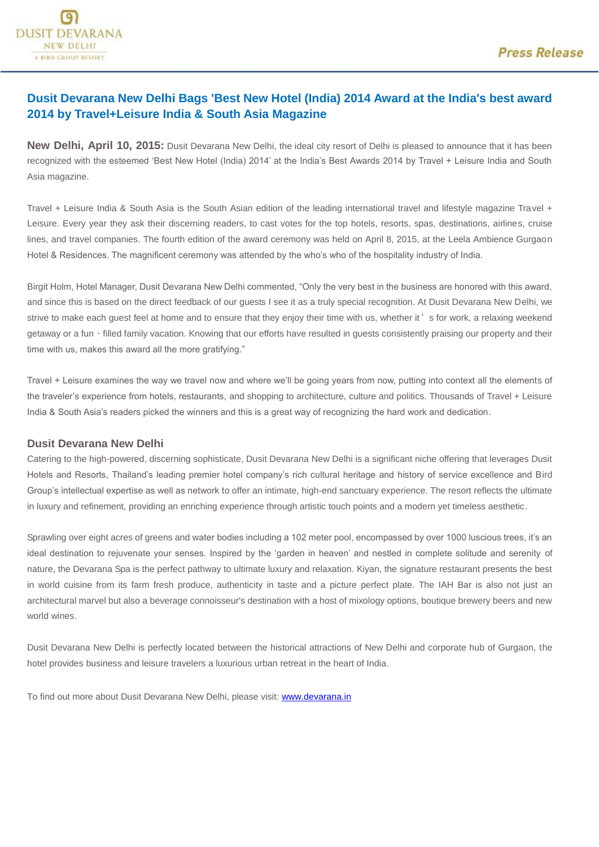## **Dusit Devarana New Delhi Bags 'Best New Hotel (India) 2014 Award at the India's best award 2014 by Travel+Leisure India & South Asia Magazine**

**New Delhi, April 10, 2015:** Dusit Devarana New Delhi, the ideal city resort of Delhi is pleased to announce that it has been recognized with the esteemed 'Best New Hotel (India) 2014' at the India's Best Awards 2014 by Travel + Leisure India and South Asia magazine.

Travel + Leisure India & South Asia is the South Asian edition of the leading international travel and lifestyle magazine Travel + Leisure. Every year they ask their discerning readers, to cast votes for the top hotels, resorts, spas, destinations, airlines, cruise lines, and travel companies. The fourth edition of the award ceremony was held on April 8, 2015, at the Leela Ambience Gurgaon Hotel & Residences. The magnificent ceremony was attended by the who's who of the hospitality industry of India.

Birgit Holm, Hotel Manager, Dusit Devarana New Delhi commented, "Only the very best in the business are honored with this award, and since this is based on the direct feedback of our guests I see it as a truly special recognition. At Dusit Devarana New Delhi, we strive to make each quest feel at home and to ensure that they enjoy their time with us, whether it's for work, a relaxing weekend getaway or a fun - filled family vacation. Knowing that our efforts have resulted in guests consistently praising our property and their time with us, makes this award all the more gratifying."

Travel + Leisure examines the way we travel now and where we'll be going years from now, putting into context all the elements of the traveler's experience from hotels, restaurants, and shopping to architecture, culture and politics. Thousands of Travel + Leisure India & South Asia's readers picked the winners and this is a great way of recognizing the hard work and dedication.

## **Dusit Devarana New Delhi**

Catering to the high-powered, discerning sophisticate, Dusit Devarana New Delhi is a significant niche offering that leverages Dusit Hotels and Resorts, Thailand's leading premier hotel company's rich cultural heritage and history of service excellence and Bird Group's intellectual expertise as well as network to offer an intimate, high-end sanctuary experience. The resort reflects the ultimate in luxury and refinement, providing an enriching experience through artistic touch points and a modern yet timeless aesthetic.

Sprawling over eight acres of greens and water bodies including a 102 meter pool, encompassed by over 1000 luscious trees, it's an ideal destination to rejuvenate your senses. Inspired by the 'garden in heaven' and nestled in complete solitude and serenity of nature, the Devarana Spa is the perfect pathway to ultimate luxury and relaxation. Kiyan, the signature restaurant presents the best in world cuisine from its farm fresh produce, authenticity in taste and a picture perfect plate. The IAH Bar is also not just an architectural marvel but also a beverage connoisseur's destination with a host of mixology options, boutique brewery beers and new world wines.

Dusit Devarana New Delhi is perfectly located between the historical attractions of New Delhi and corporate hub of Gurgaon, the hotel provides business and leisure travelers a luxurious urban retreat in the heart of India.

To find out more about Dusit Devarana New Delhi, please visit: [www.devarana.in](http://www.devarana.in/)